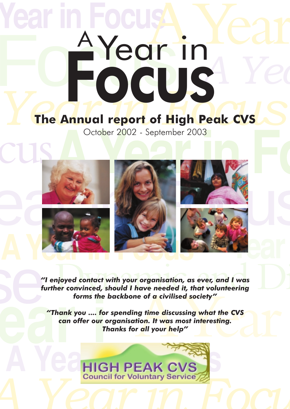# **Focus Year in Focus** The Annual report of High Peak CVS **A** Year *A Yea* Focus <sup>A</sup> Year in

# **The Annual report of High Peak CVS**

October 2002 - September 2003



njoyed contact with your organisation, as ever, and I was<br>ner convinced, should I have needed it, that volunteering<br>forms the backbone of a civilised society" *"I enjoyed contact with your organisation, as ever, and I was further convinced, should I have needed it, that volunteering forms the backbone of a civilised society"*

The of a civilised society"<br>
The discussing what the CVS<br>
tion. It was most interesting.<br>
The discussing what the CVS<br>
The p<sup>"</sup> **ear** forms the<br> **ear** offer our complete that the can offer our complete that the can offer our complete that the can offer our complete that the complete the complete that the complete the complete the complete that  $\frac{$ *"Thank you .... for spending time discussing what the CVS can offer our organisation. It was most interesting. Thanks for all your help"*

**HIGH PEAK CVS**<br>Council for Voluntary Service **A** Year in Yountary Service 2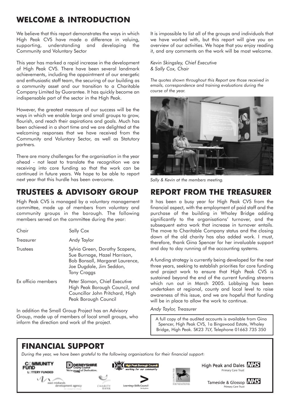## **WELCOME & INTRODUCTION**

We believe that this report demonstrates the ways in which High Peak CVS have made a difference in valuing, supporting, understanding and developing the Community and Voluntary Sector

This year has marked a rapid increase in the development of High Peak CVS. There have been several landmark achievements, including the appointment of our energetic and enthusiastic staff team, the securing of our building as a community asset and our transition to a Charitable Company Limited by Guarantee. It has quickly become an indispensable part of the sector in the High Peak.

However, the greatest measure of our success will be the ways in which we enable large and small groups to grow, flourish, and reach their aspirations and goals. Much has been achieved in a short time and we are delighted at the welcoming responses that we have received from the Community and Voluntary Sector, as well as Statutory partners.

There are many challenges for the organisation in the year ahead - not least to translate the recognition we are receiving into core funding so that the work can be continued in future years. We hope to be able to report next year that this hurdle has been overcome.

### **TRUSTEES & ADVISORY GROUP**

High Peak CVS is managed by a voluntary management committee, made up of members from voluntary and community groups in the borough. The following members served on the committee during the year:

| Chair              | Sally Cox                                                                                                                                           |
|--------------------|-----------------------------------------------------------------------------------------------------------------------------------------------------|
| Treasurer          | Andy Taylor                                                                                                                                         |
| <b>Trustees</b>    | Sylvia Green, Dorothy Scapens,<br>Sue Burnage, Hazel Harrison,<br>Bob Bonsall, Margaret Laurence,<br>Joe Dugdale, Jim Seddon,<br><b>Tony Craggs</b> |
| Ex officio members | Peter Sloman, Chief Executive<br>High Peak Borough Council, and<br>Councillor John Pritchard, High<br>Peak Borough Council                          |

In addition the Small Group Project has an Advisory Group, made up of members of local small groups, who inform the direction and work of the project.

It is impossible to list all of the groups and individuals that we have worked with, but this report will give you an overview of our activities. We hope that you enjoy reading it, and any comments on the work will be most welcome.

*Kevin Skingsley, Chief Executive & Sally Cox, Chair*

*The quotes shown throughout this Report are those received in emails, correspondence and training evaluations during the course of the year.*



*Sally & Kevin at the members meeting.*

### **REPORT FROM THE TREASURER**

It has been a busy year for High Peak CVS from the financial aspect, with the employment of paid staff and the purchase of the building in Whaley Bridge adding significantly to the organisations' turnover, and the subsequent extra work that increase in turnover entails. The move to Charitable Company status and the closing down of the old charity has also added work. I must, therefore, thank Gina Spencer for her invaluable support and day to day running of the accounting systems.

A funding strategy is currently being developed for the next three years, seeking to establish priorities for core funding and project work to ensure that High Peak CVS is sustained beyond the end of the current funding streams which run out in March 2005. Lobbying has been undertaken at regional, county and local level to raise awareness of this issue, and we are hopeful that funding will be in place to allow the work to continue.

*Andy Taylor, Treasurer*

A full copy of the audited accounts is available from Gina Spencer, High Peak CVS, 1a Bingswood Estate, Whaley Bridge, High Peak. SK23 7LY, Telephone 01663 735 350

### **FINANCIAL SUPPORT**

*During the year, we have been grateful to the following organisations for their financial support:*





High Peak and Dales **NHS** Primary Care Trust

> Tameside & Glossop **NHS** Primary Care Trust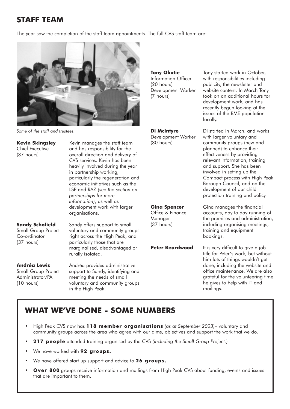### **STAFF TEAM**

The year saw the completion of the staff team appointments. The full CVS staff team are:



*Some of the staff and trustees.*

**Kevin Skingsley** Kevin manages the staff team Chief Executive and has responsibility for the<br>
(37 hours) overall direction and delivery overall direction and delivery of CVS services. Kevin has been heavily involved during the year in partnership working, particularly the regeneration and economic initiatives such as the LSP and RAZ *(see the section on partnerships for more information)*, as well as development work with larger organisations.

**Sandy Schofield** Sandy offers support to small Small Group Project voluntary and community groups Co-ordinator right across the High Peak, and (37 hours) particularly those that are marginalised, disadvantaged or rurally isolated.

**Andréa Lewis** Andréa provides administrative Small Group Project support to Sandy, identifying and<br>Administrator/PA meeting the needs of small meeting the needs of small (10 hours) voluntary and community groups in the High Peak.

**Tony Okotie** Tony started work in October, Information Officer with responsibilities including (20 hours) publicity, the newsletter and Development Worker website content. In March Tony (7 hours) took on an additional hours for development work, and has recently begun looking at the issues of the BME population locally.

**Di McIntyre Di started in March, and works** Development Worker with larger voluntary and (30 hours) community groups (new and planned) to enhance their effectiveness by providing relevant information, training and support. She has been involved in setting up the Compact process with High Peak Borough Council, and on the development of our child protection training and policy.

**Gina Spencer** Gina manages the financial Office & Finance accounts, day to day running of Manager the premises and administration, (37 hours) including organising meetings, training and equipment bookings.

**Peter Beardwood** It is very difficult to give a job title for Peter's work, but without him lots of things wouldn't get done, including the website and office maintenance. We are also grateful for the volunteering time he gives to help with IT and mailings.

### **WHAT WE'VE DONE - SOME NUMBERS**

- High Peak CVS now has **118 member organisations** *(as at September 2003)* voluntary and community groups across the area who agree with our aims, objectives and support the work that we do.
- **217 people** attended training organised by the CVS *(including the Small Group Project.)*
- We have worked with **92 groups.**
- We have offered start up support and advice to **26 groups.**
- **Over 800** groups receive information and mailings from High Peak CVS about funding, events and issues that are important to them.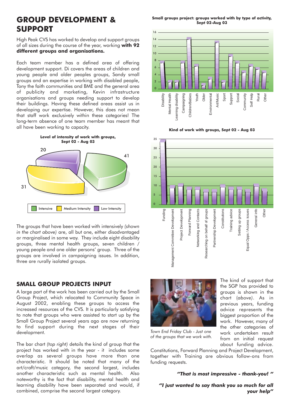### **GROUP DEVELOPMENT & SUPPORT**

High Peak CVS has worked to develop and support groups of all sizes during the course of the year, working **with 92 different groups and organisations.** 

Each team member has a defined area of offering development support. Di covers the areas of children and young people and older peoples groups, Sandy small groups and an expertise in working with disabled people, Tony the faith communities and BME and the general area of publicity and marketing, Kevin infrastructure organisations and groups needing support to develop their buildings. Having these defined areas assist us in developing our expertise. However, this does not mean that staff work exclusively within these categories! The long-term absence of one team member has meant that all have been working to capacity.



The groups that have been worked with intensively *(shown in the chart above)* are, all but one, either disadvantaged or marginalised in some way. They include eight disability groups, three mental health groups, seven children / young people and one older persons' group. Three of the groups are involved in campaigning issues. In addition, three are rurally isolated groups.

### **SMALL GROUP PROJECTS INPUT**

A large part of the work has been carried out by the Small Group Project, which relocated to Community Space in August 2002, enabling these groups to access the increased resources of the CVS. It is particularly satisfying to note that groups who were assisted to start up by the Small Group Project several years ago are now returning to find support during the next stages of their development.

The bar chart *(top right)* details the kind of group that the project has worked with in the year - it includes some overlap as several groups have more than one characteristic. It should be noted that many of the art/craft/music category, the second largest, includes another characteristic such as mental health. Also noteworthy is the fact that disability, mental health and learning disability have been separated and would, if combined, comprise the second largest category.

**Small groups project: groups worked with by type of activity, Sept 02-Aug 03**









*Town End Friday Club - Just one of the groups that we work with.*

The kind of support that the SGP has provided to groups is shown in the chart (*above)*. As in previous years, funding advice represents the biggest proportion of the work. However, many of the other categories of work undertaken result from an initial request about funding advice.

Constitutions, Forward Planning and Project Development, together with Training are obvious follow-ons from funding requests.

#### *"That is most impressive - thank-you! "*

*"I just wanted to say thank you so much for all your help"*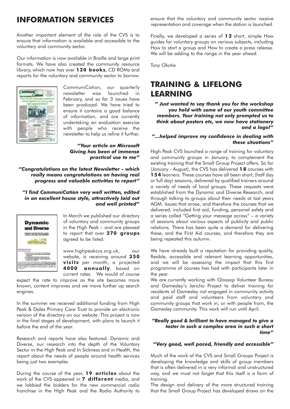### **INFORMATION SERVICES**

Another important element of the role of the CVS is to ensure that information is available and accessible to the voluntary and community sector.

Our information is now available in Braille and large print formats. We have also created the community resource library, which now has over **120 books**, CD ROMs and reports for the voluntary and community sector to borrow.



CommuniCation, our quarterly newsletter was launched in February, and so far 3 issues have been produced. We have tried to ensure it contains a good balance of information, and are currently undertaking an evaluation exercise with people who receive the newsletter to help us refine it further.

*"Your article on Microsoft Giving has been of immense practical use to me"*

*"Congratulations on the latest Newsletter - which really means congratulations on having real progress and valuable activities to report"*

#### *"I find CommuniCation very well written, edited in an excellent house style, attractively laid out and well printed"*



In March we published our directory of voluntary and community groups in the High Peak – and are pleased to report that over **270 groups** agreed to be listed.

www.highpeakcvs.org.uk, our website, is receiving around **350 visits** per month, a projected **4000 annually**, based on current rates. We would of course

expect the rate to improve as the site becomes more known, content improves and we move further up search engines.

In the summer we received additional funding from High Peak & Dales Primary Care Trust to provide an electronic version of the directory on our website. This project is now in the final stages of development, with plans to launch it before the end of the year.

Research and reports have also featured. Dynamic and Diverse, our research into the depth of the Voluntary Sector in the High Peak and In Sickness and in Health, the report about the needs of people around health services being just two examples.

During the course of the year, **19 articles** about the work of the CVS appeared in **7 different** media, and we lobbied the bidders for the new commercial radio franchise in the High Peak and the Radio Authority to ensure that the voluntary and community sector receive representation and coverage when the station is launched.

Finally, we developed a series of **1 2** short, simple How guides for voluntary groups on various subjects, including How to start a group and How to create a press release. We will be adding to the range in the year ahead.

*Tony Okotie*

### **TRAINING & LIFELONG LEARNING**

*" Just wanted to say thank you for the workshop you held with some of our youth committee members. Your training not only prompted us to think about posters etc, we now have stationery and a logo!"*

#### *"…helped improve my confidence in dealing with these situations"*

High Peak CVS launched a range of training for voluntary and community groups in January, to complement the existing training that the Small Group Project offers. So far *(January - August)*, the CVS has delivered **1 8** courses with **154** learners. These courses have all been short, (half day or full day) sessions, delivered by qualified trainers around a variety of needs of local groups. These requests were established from the Dynamic and Diverse Research, and through talking to groups about their needs at last years AGM. Issues that arose, and therefore the courses that we delivered, included first aid, funding, personal safety and a series called "Getting your message across" – a variety of sessions about various aspects of publicity and public relations. There has been quite a demand for delivering these, and the First Aid courses, and therefore they are being repeated this autumn.

We have already built a reputation for providing quality, flexible, accessible and relevant learning opportunities, and we will be assessing the impact that this first programme of courses has had with participants later in the year.

We are currently working with Glossop Volunteer Bureau and Gamesley's Jericho Project to deliver training for residents of Gamesley not engaged in community activity and paid staff and volunteers from voluntary and community groups that work in, or with people from, the Gamesley community. This work will run until April.

#### *"Really good & brilliant to have managed to give a taster in such a complex area in such a short time"*

#### *"Very good, well paced, friendly and accessible"*

Much of the work of the CVS and Small Groups Project is developing the knowledge and skills of group members that is often delivered in a very informal and unstructured way, and we must not forget that this itself is a form of training.

The design and delivery of the more structured training that the Small Group Project has developed draws on the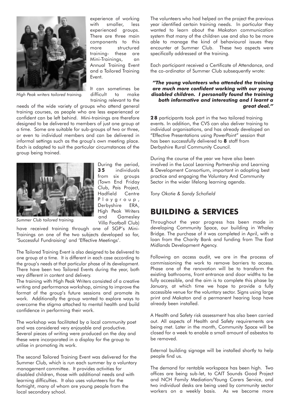

experience of working with smaller, less experienced groups. There are three main components to this more structured training- these are Mini-Trainings, an Annual Training Event and a Tailored Training Event.

*High Peak writers tailored training.*

It can sometimes be difficult to make training relevant to the

needs of the wide variety of groups who attend general training courses, as people who are less experienced or confident can be left behind. Mini-trainings are therefore designed to be delivered to members of just one group at a time. Some are suitable for sub-groups of two or three, or even to individual members and can be delivered in informal settings such as the group's own meeting place. Each is adapted to suit the particular circumstances of the group being trained.



During the period, **3 5** individuals from six groups (Town End Friday Club, Pais Project, Hadfield Centre Playgroup, Derbyshire ERA, High Peak Writers and Gamesley Villa Football Club)

*Summer Club tailored training.*

have received training through one of SGP's Mini-Trainings on one of the two subjects developed so far, 'Successful Fundraising' and 'Effective Meetings'.

The Tailored Training Event is also designed to be delivered to one group at a time. It is different in each case according to the group's needs at that particular phase of its development. There have been two Tailored Events during the year, both very different in content and delivery.

The training with High Peak Writers consisted of a creative writing and performance workshop, aiming to improve the format of the group's future sessions and promote its work. Additionally the group wanted to explore ways to overcome the stigma attached to mental health and build confidence in performing their work.

The workshop was facilitated by a local community poet and was considered very enjoyable and productive. Several pieces of writing were produced on the day and these were incorporated in a display for the group to utilise in promoting its work.

The second Tailored Training Event was delivered for the Summer Club, which is run each summer by a voluntary management committee. It provides activities for disabled children, those with additional needs and with learning difficulties. It also uses volunteers for the fortnight, many of whom are young people from the local secondary school.

The volunteers who had helped on the project the previous year identified certain training needs. In particular they wanted to learn about the Makaton communication system that many of the children use and also to be more able to manage the kind of behavioural issues they encounter at Summer Club. These two aspects were specifically addressed at the training.

Each participant received a Certificate of Attendance, and the co-ordinator of Summer Club subsequently wrote:

#### *"The young volunteers who attended the training are much more confident working with our young disabled children. I personally found the training both informative and interesting and I learnt a great deal."*

**2 8** participants took part in the two tailored training events. In addition, the CVS can also deliver training to individual organisations, and has already developed an "Effective Presentations using PowerPoint" session that has been successfully delivered to **8** staff from Derbyshire Rural Community Council.

During the course of the year we have also been involved in the Local Learning Partnership and Learning & Development Consortium, important in adopting best practice and engaging the Voluntary And Community Sector in the wider lifelong learning agenda.

*Tony Okotie & Sandy Schofield*

### **BUILDING & SERVICES**

Throughout the year progress has been made in developing Community Space, our building in Whaley Bridge. The purchase of it was completed in April, with a loan from the Charity Bank and funding from The East Midlands Development Agency.

Following an access audit, we are in the process of commissioning the work to remove barriers to access. Phase one of the renovation will be to transform the existing bathrooms, front entrance and door widths to be fully accessible, and the aim is to complete this phase by January, at which time we hope to provide a fully accessible venue for the voluntary sector. Signs using large print and Makaton and a permanent hearing loop have already been installed.

A Health and Safety risk assessment has also been carried out. All aspects of Health and Safety requirements are being met. Later in the month, Community Space will be closed for a week to enable a small amount of asbestos to be removed.

External building signage will be installed shortly to help people find us.

The demand for rentable workspace has been high. Two offices are being sub-let, to CAIT Sounds Good Project and NCH Family Mediation/Young Carers Service, and two individual desks are being used by community sector workers on a weekly basis. As we become more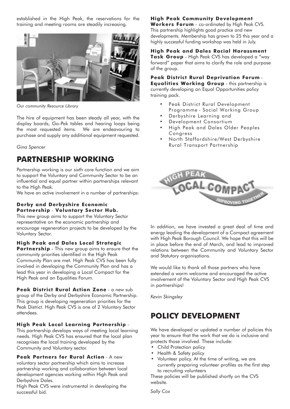established in the High Peak, the reservations for the training and meeting rooms are steadily increasing.



*Our community Resource Library*

The hire of equipment has been steady all year, with the display boards, Go-Pak tables and hearing loops being the most requested items. We are endeavouring to purchase and supply any additional equipment requested.

*Gina Spencer*

### **PARTNERSHIP WORKING**

Partnership working is our sixth core function and we aim to support the Voluntary and Community Sector to be an influential and equal partner within partnerships relevant to the High Peak.

We have an active involvement in a number of partnerships:

#### **Derby and Derbyshire Economic Partnership** - **Voluntary Sector Hub.**

This new group aims to support the Voluntary Sector representative on the economic partnership and encourage regeneration projects to be developed by the Voluntary Sector.

#### **High Peak and Dales Local Strategic**

**Partnership** - This new group aims to ensure that the community priorities identified in the High Peak Community Plan are met. High Peak CVS has been fully involved in developing the Community Plan and has a lead this year in developing a Local Compact for the High Peak and an Equalities Forum.

**Peak District Rural Action Zone** - a new sub group of the Derby and Derbyshire Economic Partnership. This group is developing regeneration priorities for the Peak District. High Peak CVS is one of 2 Voluntary Sector attendees.

#### **High Peak Local Learning Partnership** -

This partnership develops ways of meeting local learning needs. High Peak CVS has ensured that the local plan recognises the local training developed by the Community and Voluntary sector.

**Peak Partners for Rural Action** - A new voluntary sector partnership which aims to increase partnership working and collaboration between local development agencies working within High Peak and Derbyshire Dales.

High Peak CVS were instrumental in developing the successful bid.

### **High Peak Community Development**

**Workers Forum** - co-ordinated by High Peak CVS. This partnership highlights good practice and new developments. Membership has grown to 25 this year and a highly successful funding workshop was held in July.

**High Peak and Dales Racial Harassment Task Group** - High Peak CVS has developed a "way forward" paper that aims to clarify the role and purpose of the group.

#### **Peak District Rural Deprivation Forum** - **Equalities Working Group** - this partnership is

currently developing an Equal Opportunities policy training pack.

- Peak District Rural Development Programme - Social Working Group
- Derbyshire Learning and
- Development Consortium
- High Peak and Dales Older Peoples Congress
- North Staffordshire/West Derbyshire Rural Transport Partnership



In addition, we have invested a great deal of time and energy leading the development of a Compact agreement with High Peak Borough Council. We hope that this will be in place before the end of March, and lead to improved relations between the Community and Voluntary Sector and Statutory organisations.

We would like to thank all those partners who have extended a warm welcome and encouraged the active involvement of the Voluntary Sector and High Peak CVS in partnerships!

*Kevin Skingsley*

### **POLICY DEVELOPMENT**

We have developed or updated a number of policies this year to ensure that the work that we do is inclusive and protects those involved. These include:

- Child Protection policy
- Health & Safety policy
- Volunteer policy. At the time of writing, we are currently preparing volunteer profiles as the first step to recruiting volunteers

These policies will be published shortly on the CVS website.

*Sally Cox*